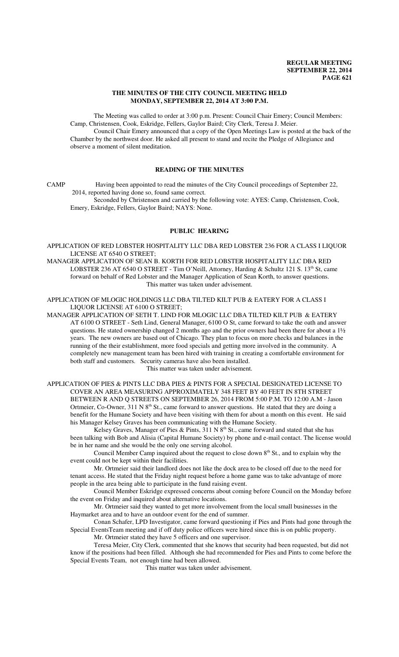### **THE MINUTES OF THE CITY COUNCIL MEETING HELD MONDAY, SEPTEMBER 22, 2014 AT 3:00 P.M.**

The Meeting was called to order at 3:00 p.m. Present: Council Chair Emery; Council Members: Camp, Christensen, Cook, Eskridge, Fellers, Gaylor Baird; City Clerk, Teresa J. Meier.

Council Chair Emery announced that a copy of the Open Meetings Law is posted at the back of the Chamber by the northwest door. He asked all present to stand and recite the Pledge of Allegiance and observe a moment of silent meditation.

## **READING OF THE MINUTES**

CAMP Having been appointed to read the minutes of the City Council proceedings of September 22, 2014, reported having done so, found same correct.

Seconded by Christensen and carried by the following vote: AYES: Camp, Christensen, Cook, Emery, Eskridge, Fellers, Gaylor Baird; NAYS: None.

### **PUBLIC HEARING**

APPLICATION OF RED LOBSTER HOSPITALITY LLC DBA RED LOBSTER 236 FOR A CLASS I LIQUOR LICENSE AT 6540 O STREET;

MANAGER APPLICATION OF SEAN B. KORTH FOR RED LOBSTER HOSPITALITY LLC DBA RED LOBSTER 236 AT 6540 O STREET - Tim O'Neill, Attorney, Harding & Schultz 121 S.  $13<sup>th</sup>$  St, came forward on behalf of Red Lobster and the Manager Application of Sean Korth, to answer questions. This matter was taken under advisement.

APPLICATION OF MLOGIC HOLDINGS LLC DBA TILTED KILT PUB & EATERY FOR A CLASS I LIQUOR LICENSE AT 6100 O STREET;

MANAGER APPLICATION OF SETH T. LIND FOR MLOGIC LLC DBA TILTED KILT PUB & EATERY AT 6100 O STREET - Seth Lind, General Manager, 6100 O St, came forward to take the oath and answer questions. He stated ownership changed 2 months ago and the prior owners had been there for about a 1½ years. The new owners are based out of Chicago. They plan to focus on more checks and balances in the running of the their establishment, more food specials and getting more involved in the community. A completely new management team has been hired with training in creating a comfortable environment for both staff and customers. Security cameras have also been installed.

This matter was taken under advisement.

APPLICATION OF PIES & PINTS LLC DBA PIES & PINTS FOR A SPECIAL DESIGNATED LICENSE TO COVER AN AREA MEASURING APPROXIMATELY 348 FEET BY 40 FEET IN 8TH STREET BETWEEN R AND Q STREETS ON SEPTEMBER 26, 2014 FROM 5:00 P.M. TO 12:00 A.M - Jason Ortmeier, Co-Owner, 311 N 8<sup>th</sup> St., came forward to answer questions. He stated that they are doing a benefit for the Humane Society and have been visiting with them for about a month on this event. He said his Manager Kelsey Graves has been communicating with the Humane Society.

Kelsey Graves, Manager of Pies & Pints, 311 N 8<sup>th</sup> St., came forward and stated that she has been talking with Bob and Alisia (Capital Humane Society) by phone and e-mail contact. The license would be in her name and she would be the only one serving alcohol.

Council Member Camp inquired about the request to close down  $8<sup>th</sup>$  St., and to explain why the event could not be kept within their facilities.

Mr. Ortmeier said their landlord does not like the dock area to be closed off due to the need for tenant access. He stated that the Friday night request before a home game was to take advantage of more people in the area being able to participate in the fund raising event.

Council Member Eskridge expressed concerns about coming before Council on the Monday before the event on Friday and inquired about alternative locations.

Mr. Ortmeier said they wanted to get more involvement from the local small businesses in the Haymarket area and to have an outdoor event for the end of summer.

Conan Schafer, LPD Investigator, came forward questioning if Pies and Pints had gone through the Special EventsTeam meeting and if off duty police officers were hired since this is on public property.

Mr. Ortmeier stated they have 5 officers and one supervisor.

Teresa Meier, City Clerk, commented that she knows that security had been requested, but did not know if the positions had been filled. Although she had recommended for Pies and Pints to come before the Special Events Team, not enough time had been allowed.

This matter was taken under advisement.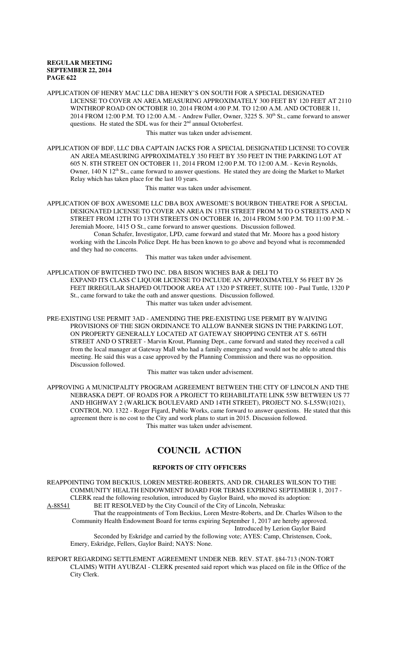APPLICATION OF HENRY MAC LLC DBA HENRY'S ON SOUTH FOR A SPECIAL DESIGNATED LICENSE TO COVER AN AREA MEASURING APPROXIMATELY 300 FEET BY 120 FEET AT 2110 WINTHROP ROAD ON OCTOBER 10, 2014 FROM 4:00 P.M. TO 12:00 A.M. AND OCTOBER 11, 2014 FROM 12:00 P.M. TO 12:00 A.M. - Andrew Fuller, Owner, 3225 S. 30<sup>th</sup> St., came forward to answer questions. He stated the SDL was for their  $2<sup>nd</sup>$  annual Octoberfest.

This matter was taken under advisement.

APPLICATION OF BDF, LLC DBA CAPTAIN JACKS FOR A SPECIAL DESIGNATED LICENSE TO COVER AN AREA MEASURING APPROXIMATELY 350 FEET BY 350 FEET IN THE PARKING LOT AT 605 N. 8TH STREET ON OCTOBER 11, 2014 FROM 12:00 P.M. TO 12:00 A.M. - Kevin Reynolds, Owner, 140 N 12<sup>th</sup> St., came forward to answer questions. He stated they are doing the Market to Market Relay which has taken place for the last 10 years.

This matter was taken under advisement.

APPLICATION OF BOX AWESOME LLC DBA BOX AWESOME'S BOURBON THEATRE FOR A SPECIAL DESIGNATED LICENSE TO COVER AN AREA IN 13TH STREET FROM M TO O STREETS AND N STREET FROM 12TH TO 13TH STREETS ON OCTOBER 16, 2014 FROM 5:00 P.M. TO 11:00 P.M. - Jeremiah Moore, 1415 O St., came forward to answer questions. Discussion followed. Conan Schafer, Investigator, LPD, came forward and stated that Mr. Moore has a good history working with the Lincoln Police Dept. He has been known to go above and beyond what is recommended

and they had no concerns.

This matter was taken under advisement.

APPLICATION OF BWITCHED TWO INC. DBA BISON WICHES BAR & DELI TO EXPAND ITS CLASS C LIQUOR LICENSE TO INCLUDE AN APPROXIMATELY 56 FEET BY 26 FEET IRREGULAR SHAPED OUTDOOR AREA AT 1320 P STREET, SUITE 100 - Paul Tuttle, 1320 P St., came forward to take the oath and answer questions. Discussion followed. This matter was taken under advisement.

PRE-EXISTING USE PERMIT 3AD - AMENDING THE PRE-EXISTING USE PERMIT BY WAIVING PROVISIONS OF THE SIGN ORDINANCE TO ALLOW BANNER SIGNS IN THE PARKING LOT, ON PROPERTY GENERALLY LOCATED AT GATEWAY SHOPPING CENTER AT S. 66TH STREET AND O STREET - Marvin Krout, Planning Dept., came forward and stated they received a call from the local manager at Gateway Mall who had a family emergency and would not be able to attend this meeting. He said this was a case approved by the Planning Commission and there was no opposition. Discussion followed.

This matter was taken under advisement.

APPROVING A MUNICIPALITY PROGRAM AGREEMENT BETWEEN THE CITY OF LINCOLN AND THE NEBRASKA DEPT. OF ROADS FOR A PROJECT TO REHABILITATE LINK 55W BETWEEN US 77 AND HIGHWAY 2 (WARLICK BOULEVARD AND 14TH STREET), PROJECT NO. S-L55W(1021), CONTROL NO. 1322 - Roger Figard, Public Works, came forward to answer questions. He stated that this agreement there is no cost to the City and work plans to start in 2015. Discussion followed. This matter was taken under advisement.

# **COUNCIL ACTION**

### **REPORTS OF CITY OFFICERS**

REAPPOINTING TOM BECKIUS, LOREN MESTRE-ROBERTS, AND DR. CHARLES WILSON TO THE COMMUNITY HEALTH ENDOWMENT BOARD FOR TERMS EXPIRING SEPTEMBER 1, 2017 - CLERK read the following resolution, introduced by Gaylor Baird, who moved its adoption:

A-88541 BE IT RESOLVED by the City Council of the City of Lincoln, Nebraska: That the reappointments of Tom Beckius, Loren Mestre-Roberts, and Dr. Charles Wilson to the Community Health Endowment Board for terms expiring September 1, 2017 are hereby approved. Introduced by Lerion Gaylor Baird Seconded by Eskridge and carried by the following vote; AYES: Camp, Christensen, Cook,

Emery, Eskridge, Fellers, Gaylor Baird; NAYS: None.

REPORT REGARDING SETTLEMENT AGREEMENT UNDER NEB. REV. STAT. §84-713 (NON-TORT CLAIMS) WITH AYUBZAI - CLERK presented said report which was placed on file in the Office of the City Clerk.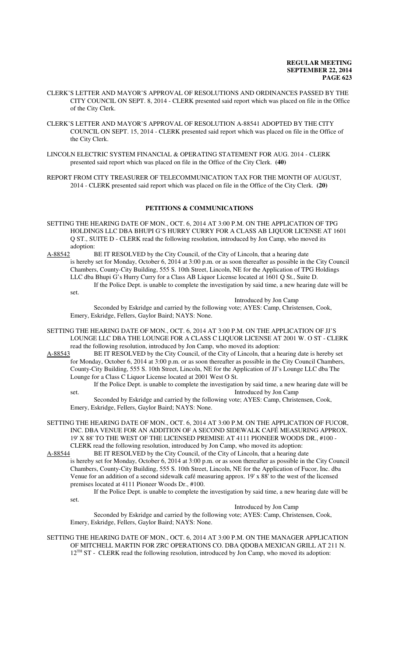- CLERK'S LETTER AND MAYOR'S APPROVAL OF RESOLUTIONS AND ORDINANCES PASSED BY THE CITY COUNCIL ON SEPT. 8, 2014 - CLERK presented said report which was placed on file in the Office of the City Clerk.
- CLERK'S LETTER AND MAYOR'S APPROVAL OF RESOLUTION A-88541 ADOPTED BY THE CITY COUNCIL ON SEPT. 15, 2014 - CLERK presented said report which was placed on file in the Office of the City Clerk.
- LINCOLN ELECTRIC SYSTEM FINANCIAL & OPERATING STATEMENT FOR AUG. 2014 CLERK presented said report which was placed on file in the Office of the City Clerk. **(40)**

REPORT FROM CITY TREASURER OF TELECOMMUNICATION TAX FOR THE MONTH OF AUGUST, 2014 - CLERK presented said report which was placed on file in the Office of the City Clerk. **(20)**

### **PETITIONS & COMMUNICATIONS**

- SETTING THE HEARING DATE OF MON., OCT. 6, 2014 AT 3:00 P.M. ON THE APPLICATION OF TPG HOLDINGS LLC DBA BHUPI G'S HURRY CURRY FOR A CLASS AB LIQUOR LICENSE AT 1601 Q ST., SUITE D - CLERK read the following resolution, introduced by Jon Camp, who moved its
- adoption:<br>A-88542 I BE IT RESOLVED by the City Council, of the City of Lincoln, that a hearing date is hereby set for Monday, October 6, 2014 at 3:00 p.m. or as soon thereafter as possible in the City Council Chambers, County-City Building, 555 S. 10th Street, Lincoln, NE for the Application of TPG Holdings LLC dba Bhupi G's Hurry Curry for a Class AB Liquor License located at 1601 Q St., Suite D. If the Police Dept. is unable to complete the investigation by said time, a new hearing date will be set.

Introduced by Jon Camp

Seconded by Eskridge and carried by the following vote; AYES: Camp, Christensen, Cook, Emery, Eskridge, Fellers, Gaylor Baird; NAYS: None.

- SETTING THE HEARING DATE OF MON., OCT. 6, 2014 AT 3:00 P.M. ON THE APPLICATION OF JJ'S LOUNGE LLC DBA THE LOUNGE FOR A CLASS C LIQUOR LICENSE AT 2001 W. O ST - CLERK read the following resolution, introduced by Jon Camp, who moved its adoption:<br>A-88543 BE IT RESOLVED by the City Council, of the City of Lincoln, that a h
- BE IT RESOLVED by the City Council, of the City of Lincoln, that a hearing date is hereby set for Monday, October 6, 2014 at 3:00 p.m. or as soon thereafter as possible in the City Council Chambers, County-City Building, 555 S. 10th Street, Lincoln, NE for the Application of JJ's Lounge LLC dba The Lounge for a Class C Liquor License located at 2001 West O St.
	- If the Police Dept. is unable to complete the investigation by said time, a new hearing date will be set. Introduced by Jon Camp Seconded by Eskridge and carried by the following vote; AYES: Camp, Christensen, Cook,
	- Emery, Eskridge, Fellers, Gaylor Baird; NAYS: None.
- SETTING THE HEARING DATE OF MON., OCT. 6, 2014 AT 3:00 P.M. ON THE APPLICATION OF FUCOR, INC. DBA VENUE FOR AN ADDITION OF A SECOND SIDEWALK CAFÉ MEASURING APPROX. 19' X 88' TO THE WEST OF THE LICENSED PREMISE AT 4111 PIONEER WOODS DR., #100 - CLERK read the following resolution, introduced by Jon Camp, who moved its adoption:<br>A-88544 BE IT RESOLVED by the City Council, of the City of Lincoln, that a hearing da
	- BE IT RESOLVED by the City Council, of the City of Lincoln, that a hearing date is hereby set for Monday, October 6, 2014 at 3:00 p.m. or as soon thereafter as possible in the City Council Chambers, County-City Building, 555 S. 10th Street, Lincoln, NE for the Application of Fucor, Inc. dba Venue for an addition of a second sidewalk café measuring approx. 19' x 88' to the west of the licensed premises located at 4111 Pioneer Woods Dr., #100.
		- If the Police Dept. is unable to complete the investigation by said time, a new hearing date will be set.

Introduced by Jon Camp

Seconded by Eskridge and carried by the following vote; AYES: Camp, Christensen, Cook, Emery, Eskridge, Fellers, Gaylor Baird; NAYS: None.

#### SETTING THE HEARING DATE OF MON., OCT. 6, 2014 AT 3:00 P.M. ON THE MANAGER APPLICATION OF MITCHELL MARTIN FOR ZRC OPERATIONS CO. DBA QDOBA MEXICAN GRILL AT 211 N. 12<sup>TH</sup> ST - CLERK read the following resolution, introduced by Jon Camp, who moved its adoption: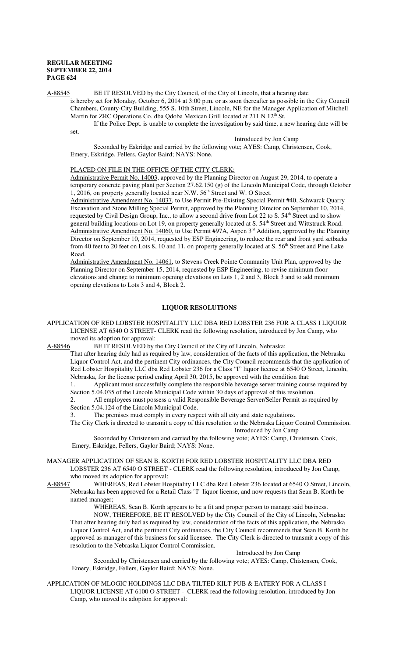A-88545 BE IT RESOLVED by the City Council, of the City of Lincoln, that a hearing date

is hereby set for Monday, October 6, 2014 at 3:00 p.m. or as soon thereafter as possible in the City Council Chambers, County-City Building, 555 S. 10th Street, Lincoln, NE for the Manager Application of Mitchell Martin for ZRC Operations Co. dba Qdoba Mexican Grill located at 211 N 12<sup>th</sup> St.

If the Police Dept. is unable to complete the investigation by said time, a new hearing date will be set.

Introduced by Jon Camp

Seconded by Eskridge and carried by the following vote; AYES: Camp, Christensen, Cook, Emery, Eskridge, Fellers, Gaylor Baird; NAYS: None.

#### PLACED ON FILE IN THE OFFICE OF THE CITY CLERK:

Administrative Permit No. 14003, approved by the Planning Director on August 29, 2014, to operate a temporary concrete paving plant per Section 27.62.150 (g) of the Lincoln Municipal Code, through October 1, 2016, on property generally located near N.W.  $56<sup>th</sup>$  Street and W. O Street.

Administrative Amendment No. 14037, to Use Permit Pre-Existing Special Permit #40, Schwarck Quarry Excavation and Stone Milling Special Permit, approved by the Planning Director on September 10, 2014, requested by Civil Design Group, Inc., to allow a second drive from Lot 22 to S. 54<sup>th</sup> Street and to show general building locations on Lot 19, on property generally located at S. 54<sup>th</sup> Street and Wittstruck Road.  $\overline{\text{Administrative}}$  Amendment No. 14060, to Use Permit #97A, Aspen 3<sup>rd</sup> Addition, approved by the Planning Director on September 10, 2014, requested by ESP Engineering, to reduce the rear and front yard setbacks from 40 feet to 20 feet on Lots 8, 10 and 11, on property generally located at S. 56<sup>th</sup> Street and Pine Lake Road.

Administrative Amendment No. 14061, to Stevens Creek Pointe Community Unit Plan, approved by the Planning Director on September 15, 2014, requested by ESP Engineering, to revise minimum floor elevations and change to minimum opening elevations on Lots 1, 2 and 3, Block 3 and to add minimum opening elevations to Lots 3 and 4, Block 2.

#### **LIQUOR RESOLUTIONS**

APPLICATION OF RED LOBSTER HOSPITALITY LLC DBA RED LOBSTER 236 FOR A CLASS I LIQUOR LICENSE AT 6540 O STREET- CLERK read the following resolution, introduced by Jon Camp, who moved its adoption for approval:

A-88546 BE IT RESOLVED by the City Council of the City of Lincoln, Nebraska:

That after hearing duly had as required by law, consideration of the facts of this application, the Nebraska Liquor Control Act, and the pertinent City ordinances, the City Council recommends that the application of Red Lobster Hospitality LLC dba Red Lobster 236 for a Class "I" liquor license at 6540 O Street, Lincoln, Nebraska, for the license period ending April 30, 2015, be approved with the condition that:

1. Applicant must successfully complete the responsible beverage server training course required by Section 5.04.035 of the Lincoln Municipal Code within 30 days of approval of this resolution.

2. All employees must possess a valid Responsible Beverage Server/Seller Permit as required by Section 5.04.124 of the Lincoln Municipal Code.

3. The premises must comply in every respect with all city and state regulations.

The City Clerk is directed to transmit a copy of this resolution to the Nebraska Liquor Control Commission. Introduced by Jon Camp

Seconded by Christensen and carried by the following vote; AYES: Camp, Chistensen, Cook, Emery, Eskridge, Fellers, Gaylor Baird; NAYS: None.

MANAGER APPLICATION OF SEAN B. KORTH FOR RED LOBSTER HOSPITALITY LLC DBA RED LOBSTER 236 AT 6540 O STREET - CLERK read the following resolution, introduced by Jon Camp,

who moved its adoption for approval:

A-88547 WHEREAS, Red Lobster Hospitality LLC dba Red Lobster 236 located at 6540 O Street, Lincoln, Nebraska has been approved for a Retail Class "I" liquor license, and now requests that Sean B. Korth be named manager;

WHEREAS, Sean B. Korth appears to be a fit and proper person to manage said business.

NOW, THEREFORE, BE IT RESOLVED by the City Council of the City of Lincoln, Nebraska: That after hearing duly had as required by law, consideration of the facts of this application, the Nebraska Liquor Control Act, and the pertinent City ordinances, the City Council recommends that Sean B. Korth be approved as manager of this business for said licensee. The City Clerk is directed to transmit a copy of this resolution to the Nebraska Liquor Control Commission.

#### Introduced by Jon Camp

Seconded by Christensen and carried by the following vote; AYES: Camp, Chistensen, Cook, Emery, Eskridge, Fellers, Gaylor Baird; NAYS: None.

APPLICATION OF MLOGIC HOLDINGS LLC DBA TILTED KILT PUB & EATERY FOR A CLASS I LIQUOR LICENSE AT 6100 O STREET - CLERK read the following resolution, introduced by Jon Camp, who moved its adoption for approval: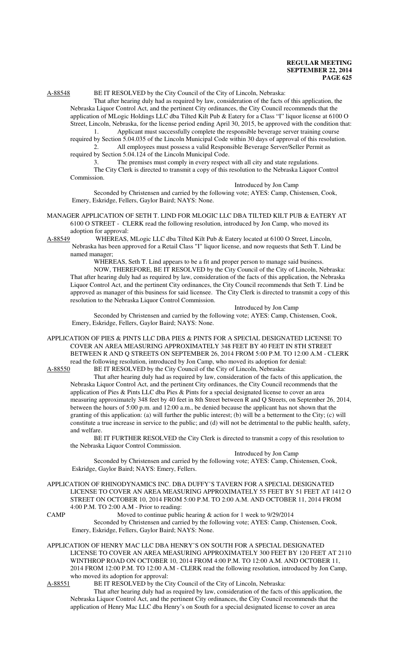## A-88548 BE IT RESOLVED by the City Council of the City of Lincoln, Nebraska:

That after hearing duly had as required by law, consideration of the facts of this application, the Nebraska Liquor Control Act, and the pertinent City ordinances, the City Council recommends that the application of MLogic Holdings LLC dba Tilted Kilt Pub & Eatery for a Class "I" liquor license at 6100 O Street, Lincoln, Nebraska, for the license period ending April 30, 2015, be approved with the condition that:

Applicant must successfully complete the responsible beverage server training course required by Section 5.04.035 of the Lincoln Municipal Code within 30 days of approval of this resolution. 2. All employees must possess a valid Responsible Beverage Server/Seller Permit as

required by Section 5.04.124 of the Lincoln Municipal Code.

3. The premises must comply in every respect with all city and state regulations.

The City Clerk is directed to transmit a copy of this resolution to the Nebraska Liquor Control Commission.

Introduced by Jon Camp

Seconded by Christensen and carried by the following vote; AYES: Camp, Chistensen, Cook, Emery, Eskridge, Fellers, Gaylor Baird; NAYS: None.

- MANAGER APPLICATION OF SETH T. LIND FOR MLOGIC LLC DBA TILTED KILT PUB & EATERY AT 6100 O STREET - CLERK read the following resolution, introduced by Jon Camp, who moved its adoption for approval:
- A-88549 WHEREAS, MLogic LLC dba Tilted Kilt Pub & Eatery located at 6100 O Street, Lincoln, Nebraska has been approved for a Retail Class "I" liquor license, and now requests that Seth T. Lind be named manager;

WHEREAS, Seth T. Lind appears to be a fit and proper person to manage said business. NOW, THEREFORE, BE IT RESOLVED by the City Council of the City of Lincoln, Nebraska: That after hearing duly had as required by law, consideration of the facts of this application, the Nebraska Liquor Control Act, and the pertinent City ordinances, the City Council recommends that Seth T. Lind be approved as manager of this business for said licensee. The City Clerk is directed to transmit a copy of this resolution to the Nebraska Liquor Control Commission.

Introduced by Jon Camp

Seconded by Christensen and carried by the following vote; AYES: Camp, Chistensen, Cook, Emery, Eskridge, Fellers, Gaylor Baird; NAYS: None.

APPLICATION OF PIES & PINTS LLC DBA PIES & PINTS FOR A SPECIAL DESIGNATED LICENSE TO COVER AN AREA MEASURING APPROXIMATELY 348 FEET BY 40 FEET IN 8TH STREET BETWEEN R AND Q STREETS ON SEPTEMBER 26, 2014 FROM 5:00 P.M. TO 12:00 A.M - CLERK read the following resolution, introduced by Jon Camp, who moved its adoption for denial:

A-88550 BE IT RESOLVED by the City Council of the City of Lincoln, Nebraska:

That after hearing duly had as required by law, consideration of the facts of this application, the Nebraska Liquor Control Act, and the pertinent City ordinances, the City Council recommends that the application of Pies & Pints LLC dba Pies & Pints for a special designated license to cover an area measuring approximately 348 feet by 40 feet in 8th Street between R and Q Streets, on September 26, 2014, between the hours of 5:00 p.m. and 12:00 a.m., be denied because the applicant has not shown that the granting of this application: (a) will further the public interest; (b) will be a betterment to the City; (c) will constitute a true increase in service to the public; and (d) will not be detrimental to the public health, safety, and welfare.

BE IT FURTHER RESOLVED the City Clerk is directed to transmit a copy of this resolution to the Nebraska Liquor Control Commission.

Introduced by Jon Camp

Seconded by Christensen and carried by the following vote; AYES: Camp, Chistensen, Cook, Eskridge, Gaylor Baird; NAYS: Emery, Fellers.

APPLICATION OF RHINODYNAMICS INC. DBA DUFFY'S TAVERN FOR A SPECIAL DESIGNATED LICENSE TO COVER AN AREA MEASURING APPROXIMATELY 55 FEET BY 51 FEET AT 1412 O STREET ON OCTOBER 10, 2014 FROM 5:00 P.M. TO 2:00 A.M. AND OCTOBER 11, 2014 FROM 4:00 P.M. TO 2:00 A.M - Prior to reading:

CAMP Moved to continue public hearing & action for 1 week to 9/29/2014

Seconded by Christensen and carried by the following vote; AYES: Camp, Chistensen, Cook, Emery, Eskridge, Fellers, Gaylor Baird; NAYS: None.

APPLICATION OF HENRY MAC LLC DBA HENRY'S ON SOUTH FOR A SPECIAL DESIGNATED LICENSE TO COVER AN AREA MEASURING APPROXIMATELY 300 FEET BY 120 FEET AT 2110 WINTHROP ROAD ON OCTOBER 10, 2014 FROM 4:00 P.M. TO 12:00 A.M. AND OCTOBER 11, 2014 FROM 12:00 P.M. TO 12:00 A.M - CLERK read the following resolution, introduced by Jon Camp, who moved its adoption for approval:<br>A-88551 BE IT RESOLVED by the C

BE IT RESOLVED by the City Council of the City of Lincoln, Nebraska:

That after hearing duly had as required by law, consideration of the facts of this application, the Nebraska Liquor Control Act, and the pertinent City ordinances, the City Council recommends that the application of Henry Mac LLC dba Henry's on South for a special designated license to cover an area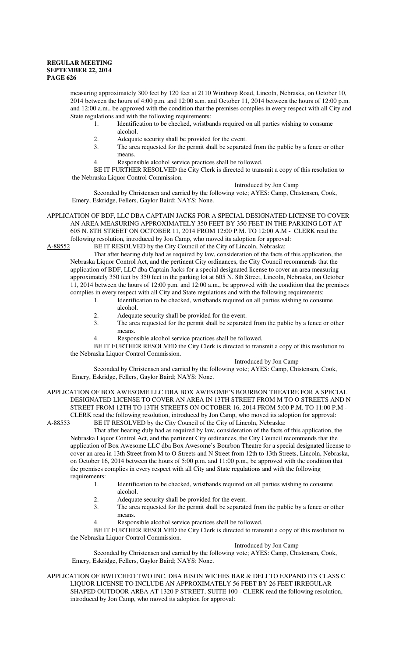measuring approximately 300 feet by 120 feet at 2110 Winthrop Road, Lincoln, Nebraska, on October 10, 2014 between the hours of 4:00 p.m. and 12:00 a.m. and October 11, 2014 between the hours of 12:00 p.m. and 12:00 a.m., be approved with the condition that the premises complies in every respect with all City and State regulations and with the following requirements:

1. Identification to be checked, wristbands required on all parties wishing to consume alcohol.

- 2. Adequate security shall be provided for the event.
- 3. The area requested for the permit shall be separated from the public by a fence or other means.
- 4. Responsible alcohol service practices shall be followed.

BE IT FURTHER RESOLVED the City Clerk is directed to transmit a copy of this resolution to the Nebraska Liquor Control Commission.

Introduced by Jon Camp

Seconded by Christensen and carried by the following vote; AYES: Camp, Chistensen, Cook, Emery, Eskridge, Fellers, Gaylor Baird; NAYS: None.

APPLICATION OF BDF, LLC DBA CAPTAIN JACKS FOR A SPECIAL DESIGNATED LICENSE TO COVER AN AREA MEASURING APPROXIMATELY 350 FEET BY 350 FEET IN THE PARKING LOT AT 605 N. 8TH STREET ON OCTOBER 11, 2014 FROM 12:00 P.M. TO 12:00 A.M - CLERK read the following resolution, introduced by Jon Camp, who moved its adoption for approval:

A-88552 BE IT RESOLVED by the City Council of the City of Lincoln, Nebraska:

That after hearing duly had as required by law, consideration of the facts of this application, the Nebraska Liquor Control Act, and the pertinent City ordinances, the City Council recommends that the application of BDF, LLC dba Captain Jacks for a special designated license to cover an area measuring approximately 350 feet by 350 feet in the parking lot at 605 N. 8th Street, Lincoln, Nebraska, on October 11, 2014 between the hours of 12:00 p.m. and 12:00 a.m., be approved with the condition that the premises complies in every respect with all City and State regulations and with the following requirements:

- 1. Identification to be checked, wristbands required on all parties wishing to consume alcohol.
- 2. Adequate security shall be provided for the event.<br>3. The area requested for the permit shall be separate
- The area requested for the permit shall be separated from the public by a fence or other means.
- 4. Responsible alcohol service practices shall be followed.

BE IT FURTHER RESOLVED the City Clerk is directed to transmit a copy of this resolution to the Nebraska Liquor Control Commission.

#### Introduced by Jon Camp

Introduced by Jon Camp

Seconded by Christensen and carried by the following vote; AYES: Camp, Chistensen, Cook, Emery, Eskridge, Fellers, Gaylor Baird; NAYS: None.

APPLICATION OF BOX AWESOME LLC DBA BOX AWESOME'S BOURBON THEATRE FOR A SPECIAL DESIGNATED LICENSE TO COVER AN AREA IN 13TH STREET FROM M TO O STREETS AND N STREET FROM 12TH TO 13TH STREETS ON OCTOBER 16, 2014 FROM 5:00 P.M. TO 11:00 P.M -

CLERK read the following resolution, introduced by Jon Camp, who moved its adoption for approval:<br>A-88553 BE IT RESOLVED by the City Council of the City of Lincoln, Nebraska: BE IT RESOLVED by the City Council of the City of Lincoln, Nebraska:

That after hearing duly had as required by law, consideration of the facts of this application, the Nebraska Liquor Control Act, and the pertinent City ordinances, the City Council recommends that the application of Box Awesome LLC dba Box Awesome's Bourbon Theatre for a special designated license to cover an area in 13th Street from M to O Streets and N Street from 12th to 13th Streets, Lincoln, Nebraska, on October 16, 2014 between the hours of 5:00 p.m. and 11:00 p.m., be approved with the condition that the premises complies in every respect with all City and State regulations and with the following requirements:

- 1. Identification to be checked, wristbands required on all parties wishing to consume alcohol.
- 2. Adequate security shall be provided for the event.
- 3. The area requested for the permit shall be separated from the public by a fence or other means.
- 4. Responsible alcohol service practices shall be followed.

BE IT FURTHER RESOLVED the City Clerk is directed to transmit a copy of this resolution to the Nebraska Liquor Control Commission.

Seconded by Christensen and carried by the following vote; AYES: Camp, Chistensen, Cook, Emery, Eskridge, Fellers, Gaylor Baird; NAYS: None.

APPLICATION OF BWITCHED TWO INC. DBA BISON WICHES BAR & DELI TO EXPAND ITS CLASS C LIQUOR LICENSE TO INCLUDE AN APPROXIMATELY 56 FEET BY 26 FEET IRREGULAR SHAPED OUTDOOR AREA AT 1320 P STREET, SUITE 100 - CLERK read the following resolution, introduced by Jon Camp, who moved its adoption for approval: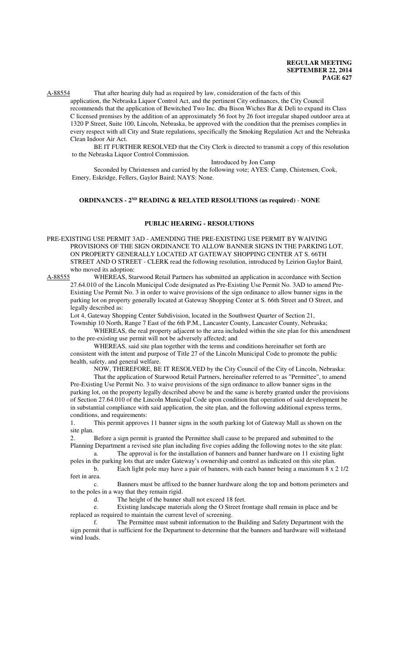A-88554 That after hearing duly had as required by law, consideration of the facts of this

application, the Nebraska Liquor Control Act, and the pertinent City ordinances, the City Council recommends that the application of Bewitched Two Inc. dba Bison Wiches Bar & Deli to expand its Class C licensed premises by the addition of an approximately 56 foot by 26 foot irregular shaped outdoor area at 1320 P Street, Suite 100, Lincoln, Nebraska, be approved with the condition that the premises complies in every respect with all City and State regulations, specifically the Smoking Regulation Act and the Nebraska Clean Indoor Air Act.

BE IT FURTHER RESOLVED that the City Clerk is directed to transmit a copy of this resolution to the Nebraska Liquor Control Commission.

#### Introduced by Jon Camp

Seconded by Christensen and carried by the following vote; AYES: Camp, Chistensen, Cook, Emery, Eskridge, Fellers, Gaylor Baird; NAYS: None.

## **ORDINANCES - 2ND READING & RELATED RESOLUTIONS (as required)** - **NONE**

#### **PUBLIC HEARING - RESOLUTIONS**

PRE-EXISTING USE PERMIT 3AD - AMENDING THE PRE-EXISTING USE PERMIT BY WAIVING PROVISIONS OF THE SIGN ORDINANCE TO ALLOW BANNER SIGNS IN THE PARKING LOT, ON PROPERTY GENERALLY LOCATED AT GATEWAY SHOPPING CENTER AT S. 66TH STREET AND O STREET - CLERK read the following resolution, introduced by Leirion Gaylor Baird, who moved its adoption:

A-88555 WHEREAS, Starwood Retail Partners has submitted an application in accordance with Section 27.64.010 of the Lincoln Municipal Code designated as Pre-Existing Use Permit No. 3AD to amend Pre-Existing Use Permit No. 3 in order to waive provisions of the sign ordinance to allow banner signs in the parking lot on property generally located at Gateway Shopping Center at S. 66th Street and O Street, and legally described as:

Lot 4, Gateway Shopping Center Subdivision, located in the Southwest Quarter of Section 21,

Township 10 North, Range 7 East of the 6th P.M., Lancaster County, Lancaster County, Nebraska; WHEREAS, the real property adjacent to the area included within the site plan for this amendment

to the pre-existing use permit will not be adversely affected; and

WHEREAS, said site plan together with the terms and conditions hereinafter set forth are consistent with the intent and purpose of Title 27 of the Lincoln Municipal Code to promote the public health, safety, and general welfare.

NOW, THEREFORE, BE IT RESOLVED by the City Council of the City of Lincoln, Nebraska:

That the application of Starwood Retail Partners, hereinafter referred to as "Permittee", to amend Pre-Existing Use Permit No. 3 to waive provisions of the sign ordinance to allow banner signs in the parking lot, on the property legally described above be and the same is hereby granted under the provisions of Section 27.64.010 of the Lincoln Municipal Code upon condition that operation of said development be in substantial compliance with said application, the site plan, and the following additional express terms, conditions, and requirements:

1. This permit approves 11 banner signs in the south parking lot of Gateway Mall as shown on the site plan.

2. Before a sign permit is granted the Permittee shall cause to be prepared and submitted to the Planning Department a revised site plan including five copies adding the following notes to the site plan:

a. The approval is for the installation of banners and banner hardware on 11 existing light poles in the parking lots that are under Gateway's ownership and control as indicated on this site plan.

b. Each light pole may have a pair of banners, with each banner being a maximum 8 x 2 1/2 feet in area.

c. Banners must be affixed to the banner hardware along the top and bottom perimeters and to the poles in a way that they remain rigid.

d. The height of the banner shall not exceed 18 feet.

e. Existing landscape materials along the O Street frontage shall remain in place and be replaced as required to maintain the current level of screening.

f. The Permittee must submit information to the Building and Safety Department with the sign permit that is sufficient for the Department to determine that the banners and hardware will withstand wind loads.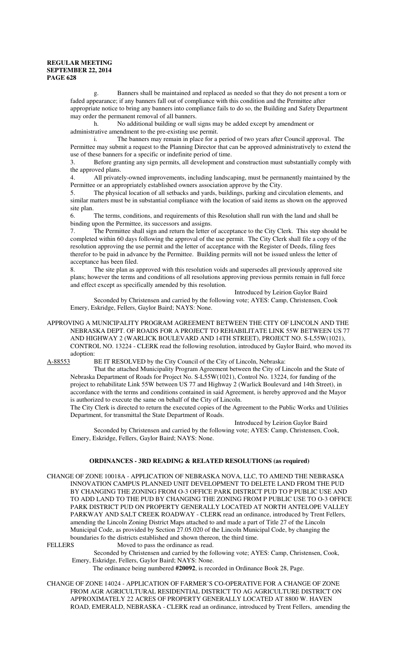g. Banners shall be maintained and replaced as needed so that they do not present a torn or faded appearance; if any banners fall out of compliance with this condition and the Permittee after appropriate notice to bring any banners into compliance fails to do so, the Building and Safety Department may order the permanent removal of all banners.

h. No additional building or wall signs may be added except by amendment or administrative amendment to the pre-existing use permit.

i. The banners may remain in place for a period of two years after Council approval. The Permittee may submit a request to the Planning Director that can be approved administratively to extend the use of these banners for a specific or indefinite period of time.

3. Before granting any sign permits, all development and construction must substantially comply with the approved plans.

4. All privately-owned improvements, including landscaping, must be permanently maintained by the Permittee or an appropriately established owners association approve by the City.

5. The physical location of all setbacks and yards, buildings, parking and circulation elements, and similar matters must be in substantial compliance with the location of said items as shown on the approved site plan.

6. The terms, conditions, and requirements of this Resolution shall run with the land and shall be binding upon the Permittee, its successors and assigns.

7. The Permittee shall sign and return the letter of acceptance to the City Clerk. This step should be completed within 60 days following the approval of the use permit. The City Clerk shall file a copy of the resolution approving the use permit and the letter of acceptance with the Register of Deeds, filing fees therefor to be paid in advance by the Permittee. Building permits will not be issued unless the letter of acceptance has been filed.

8. The site plan as approved with this resolution voids and supersedes all previously approved site plans; however the terms and conditions of all resolutions approving previous permits remain in full force and effect except as specifically amended by this resolution.

Introduced by Leirion Gaylor Baird

Seconded by Christensen and carried by the following vote; AYES: Camp, Christensen, Cook Emery, Eskridge, Fellers, Gaylor Baird; NAYS: None.

APPROVING A MUNICIPALITY PROGRAM AGREEMENT BETWEEN THE CITY OF LINCOLN AND THE NEBRASKA DEPT. OF ROADS FOR A PROJECT TO REHABILITATE LINK 55W BETWEEN US 77 AND HIGHWAY 2 (WARLICK BOULEVARD AND 14TH STREET), PROJECT NO. S-L55W(1021), CONTROL NO. 13224 - CLERK read the following resolution, introduced by Gaylor Baird, who moved its adoption:

A-88553 BE IT RESOLVED by the City Council of the City of Lincoln, Nebraska:

That the attached Municipality Program Agreement between the City of Lincoln and the State of Nebraska Department of Roads for Project No. S-L55W(1021), Control No. 13224, for funding of the project to rehabilitate Link 55W between US 77 and Highway 2 (Warlick Boulevard and 14th Street), in accordance with the terms and conditions contained in said Agreement, is hereby approved and the Mayor is authorized to execute the same on behalf of the City of Lincoln.

The City Clerk is directed to return the executed copies of the Agreement to the Public Works and Utilities Department, for transmittal the State Department of Roads.

Introduced by Leirion Gaylor Baird

Seconded by Christensen and carried by the following vote; AYES: Camp, Christensen, Cook, Emery, Eskridge, Fellers, Gaylor Baird; NAYS: None.

#### **ORDINANCES - 3RD READING & RELATED RESOLUTIONS (as required)**

CHANGE OF ZONE 10018A - APPLICATION OF NEBRASKA NOVA, LLC, TO AMEND THE NEBRASKA INNOVATION CAMPUS PLANNED UNIT DEVELOPMENT TO DELETE LAND FROM THE PUD BY CHANGING THE ZONING FROM O-3 OFFICE PARK DISTRICT PUD TO P PUBLIC USE AND TO ADD LAND TO THE PUD BY CHANGING THE ZONING FROM P PUBLIC USE TO O-3 OFFICE PARK DISTRICT PUD ON PROPERTY GENERALLY LOCATED AT NORTH ANTELOPE VALLEY PARKWAY AND SALT CREEK ROADWAY - CLERK read an ordinance, introduced by Trent Fellers, amending the Lincoln Zoning District Maps attached to and made a part of Title 27 of the Lincoln Municipal Code, as provided by Section 27.05.020 of the Lincoln Municipal Code, by changing the boundaries fo the districts established and shown thereon, the third time.

FELLERS Moved to pass the ordinance as read.

Seconded by Christensen and carried by the following vote; AYES: Camp, Christensen, Cook, Emery, Eskridge, Fellers, Gaylor Baird; NAYS: None.

The ordinance being numbered **#20092**, is recorded in Ordinance Book 28, Page.

CHANGE OF ZONE 14024 - APPLICATION OF FARMER'S CO-OPERATIVE FOR A CHANGE OF ZONE FROM AGR AGRICULTURAL RESIDENTIAL DISTRICT TO AG AGRICULTURE DISTRICT ON APPROXIMATELY 22 ACRES OF PROPERTY GENERALLY LOCATED AT 8800 W. HAVEN ROAD, EMERALD, NEBRASKA - CLERK read an ordinance, introduced by Trent Fellers, amending the